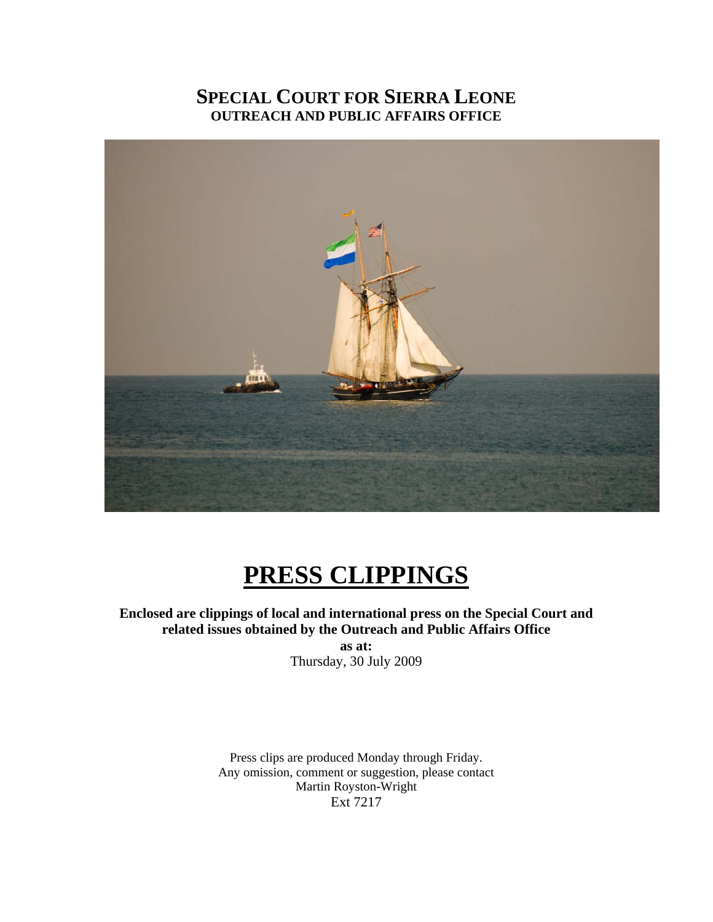## **SPECIAL COURT FOR SIERRA LEONE OUTREACH AND PUBLIC AFFAIRS OFFICE**



## **PRESS CLIPPINGS**

**Enclosed are clippings of local and international press on the Special Court and related issues obtained by the Outreach and Public Affairs Office** 

**as at:**  Thursday, 30 July 2009

Press clips are produced Monday through Friday. Any omission, comment or suggestion, please contact Martin Royston-Wright Ext 7217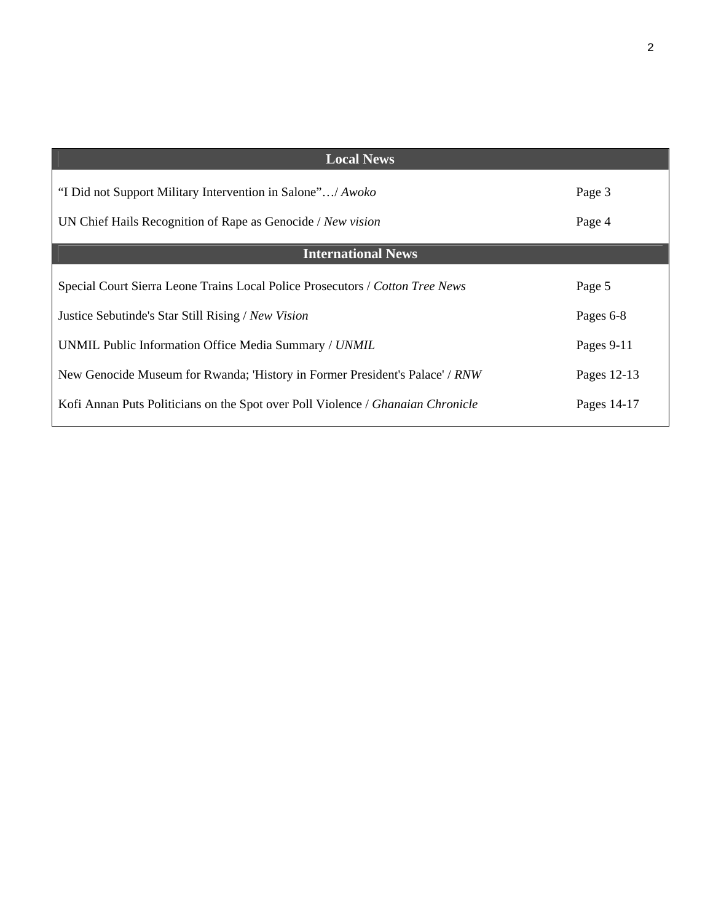| <b>Local News</b>                                                               |             |
|---------------------------------------------------------------------------------|-------------|
| "I Did not Support Military Intervention in Salone"/ Awoko                      | Page 3      |
| UN Chief Hails Recognition of Rape as Genocide / New vision                     | Page 4      |
| <b>International News</b>                                                       |             |
| Special Court Sierra Leone Trains Local Police Prosecutors / Cotton Tree News   | Page 5      |
| Justice Sebutinde's Star Still Rising / New Vision                              | Pages 6-8   |
| UNMIL Public Information Office Media Summary / UNMIL                           | Pages 9-11  |
| New Genocide Museum for Rwanda; 'History in Former President's Palace' / RNW    | Pages 12-13 |
| Kofi Annan Puts Politicians on the Spot over Poll Violence / Ghanaian Chronicle | Pages 14-17 |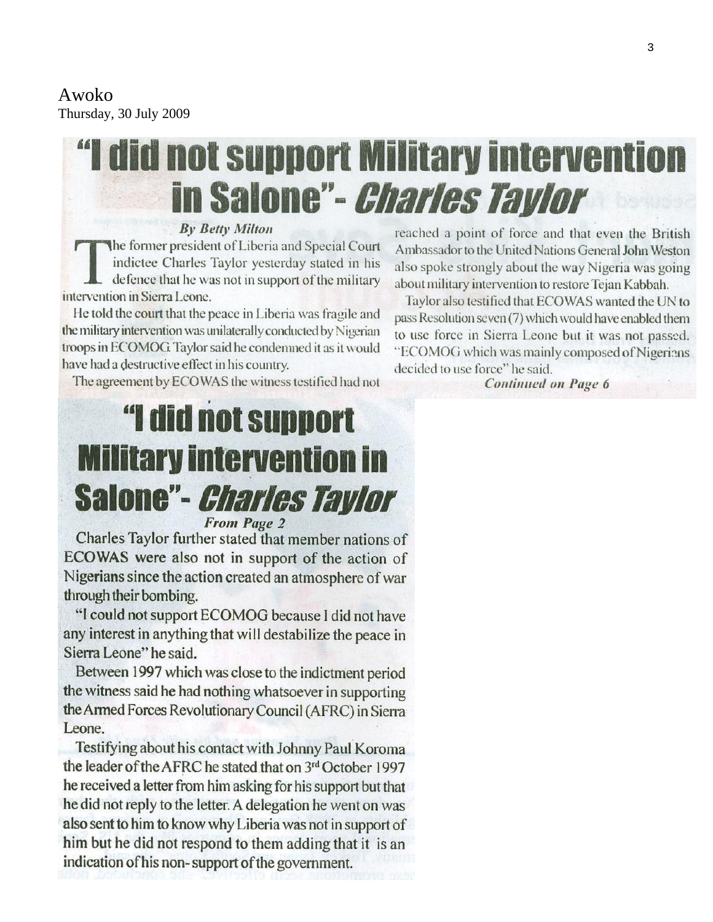## Awoko

Thursday, 30 July 2009

# "I did not support Military intervention in Salone"- *Charles Tavlor*

#### **By Betty Milton**

The former president of Liberia and Special Court indictee Charles Taylor yesterday stated in his defence that he was not in support of the military intervention in Sierra Leone.

He told the court that the peace in Liberia was fragile and the military intervention was unilaterally conducted by Nigerian troops in ECOMOG. Taylor said he condemned it as it would have had a destructive effect in his country.

The agreement by ECOWAS the witness testified had not

# "I did not support **Military intervention in Salone"-** *Charles Taylor*

**From Page 2** 

Charles Taylor further stated that member nations of ECOWAS were also not in support of the action of Nigerians since the action created an atmosphere of war through their bombing.

"I could not support ECOMOG because I did not have any interest in anything that will destabilize the peace in Sierra Leone" he said.

Between 1997 which was close to the indictment period the witness said he had nothing whatsoever in supporting the Armed Forces Revolutionary Council (AFRC) in Sierra Leone.

Testifying about his contact with Johnny Paul Koroma the leader of the AFRC he stated that on 3rd October 1997 he received a letter from him asking for his support but that he did not reply to the letter. A delegation he went on was also sent to him to know why Liberia was not in support of him but he did not respond to them adding that it is an indication of his non-support of the government.

reached a point of force and that even the British Ambassador to the United Nations General John Weston also spoke strongly about the way Nigeria was going about military intervention to restore Tejan Kabbah.

Taylor also testified that ECOWAS wanted the UN to pass Resolution seven (7) which would have enabled them to use force in Sierra Leone but it was not passed. "ECOMOG which was mainly composed of Nigerians decided to use force" he said.

**Continued on Page 6**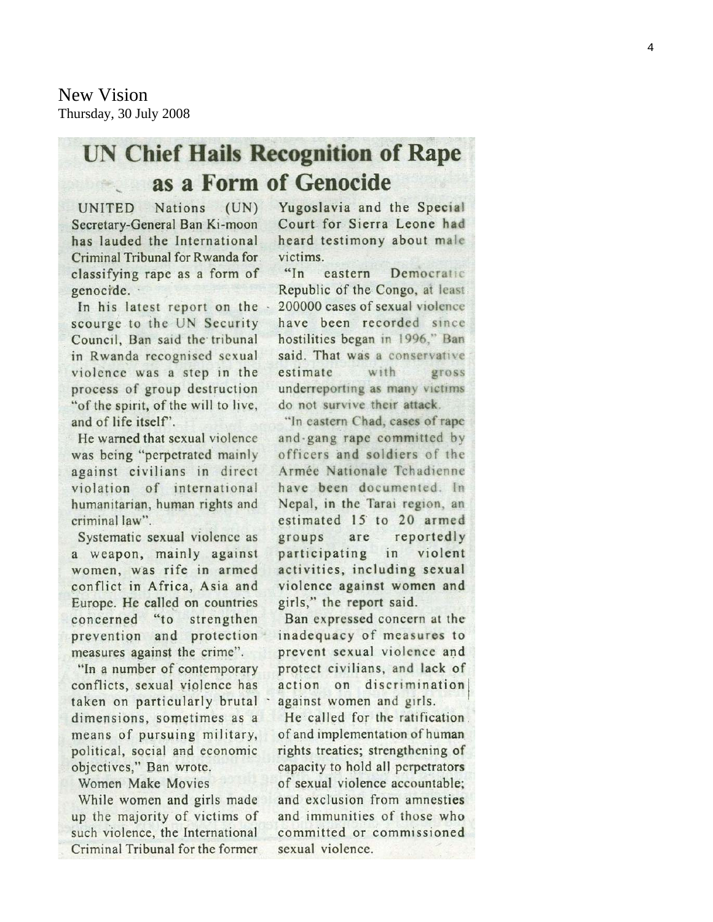New Vision Thursday, 30 July 2008

## **UN Chief Hails Recognition of Rape** as a Form of Genocide

UNITED Nations (UN) Secretary-General Ban Ki-moon has lauded the International Criminal Tribunal for Rwanda for classifying rape as a form of genocide.

In his latest report on the scourge to the UN Security Council, Ban said the tribunal in Rwanda recognised sexual violence was a step in the process of group destruction "of the spirit, of the will to live, and of life itself".

He warned that sexual violence was being "perpetrated mainly against civilians in direct violation of international humanitarian, human rights and criminal law".

Systematic sexual violence as a weapon, mainly against women, was rife in armed conflict in Africa. Asia and Europe. He called on countries  $"$ to concerned strengthen prevention and protection measures against the crime".

"In a number of contemporary conflicts, sexual violence has taken on particularly brutal dimensions, sometimes as a means of pursuing military, political, social and economic objectives," Ban wrote.

Women Make Movies

While women and girls made up the majority of victims of such violence, the International Criminal Tribunal for the former Yugoslavia and the Special Court for Sierra Leone had heard testimony about male victims.

 $\frac{44}{1}$ eastern Democratic Republic of the Congo, at least 200000 cases of sexual violence have been recorded since hostilities began in 1996," Ban said. That was a conservative estimate with gross underreporting as many victims do not survive their attack.

"In eastern Chad, cases of rape and gang rape committed by officers and soldiers of the Armée Nationale Tchadienne have been documented. In Nepal, in the Tarai region, an estimated 15 to 20 armed groups are reportedly violent participating in activities, including sexual violence against women and girls," the report said.

Ban expressed concern at the inadequacy of measures to prevent sexual violence and protect civilians, and lack of action on discrimination against women and girls.

He called for the ratification. of and implementation of human rights treaties; strengthening of capacity to hold all perpetrators of sexual violence accountable: and exclusion from amnesties and immunities of those who committed or commissioned sexual violence.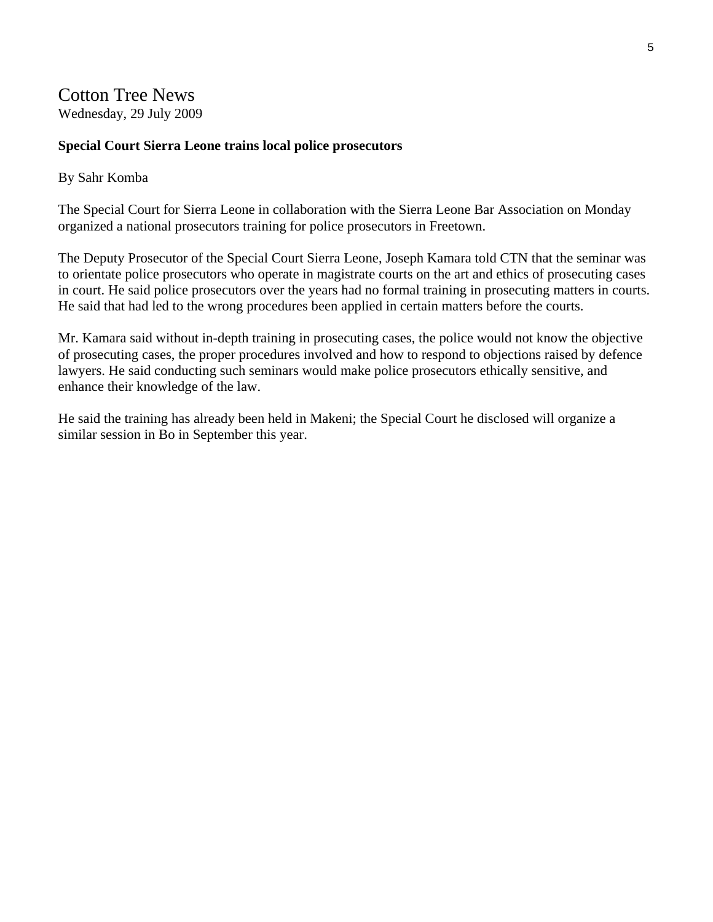## Cotton Tree News

Wednesday, 29 July 2009

#### **Special Court Sierra Leone trains local police prosecutors**

#### By Sahr Komba

The Special Court for Sierra Leone in collaboration with the Sierra Leone Bar Association on Monday organized a national prosecutors training for police prosecutors in Freetown.

The Deputy Prosecutor of the Special Court Sierra Leone, Joseph Kamara told CTN that the seminar was to orientate police prosecutors who operate in magistrate courts on the art and ethics of prosecuting cases in court. He said police prosecutors over the years had no formal training in prosecuting matters in courts. He said that had led to the wrong procedures been applied in certain matters before the courts.

Mr. Kamara said without in-depth training in prosecuting cases, the police would not know the objective of prosecuting cases, the proper procedures involved and how to respond to objections raised by defence lawyers. He said conducting such seminars would make police prosecutors ethically sensitive, and enhance their knowledge of the law.

He said the training has already been held in Makeni; the Special Court he disclosed will organize a similar session in Bo in September this year.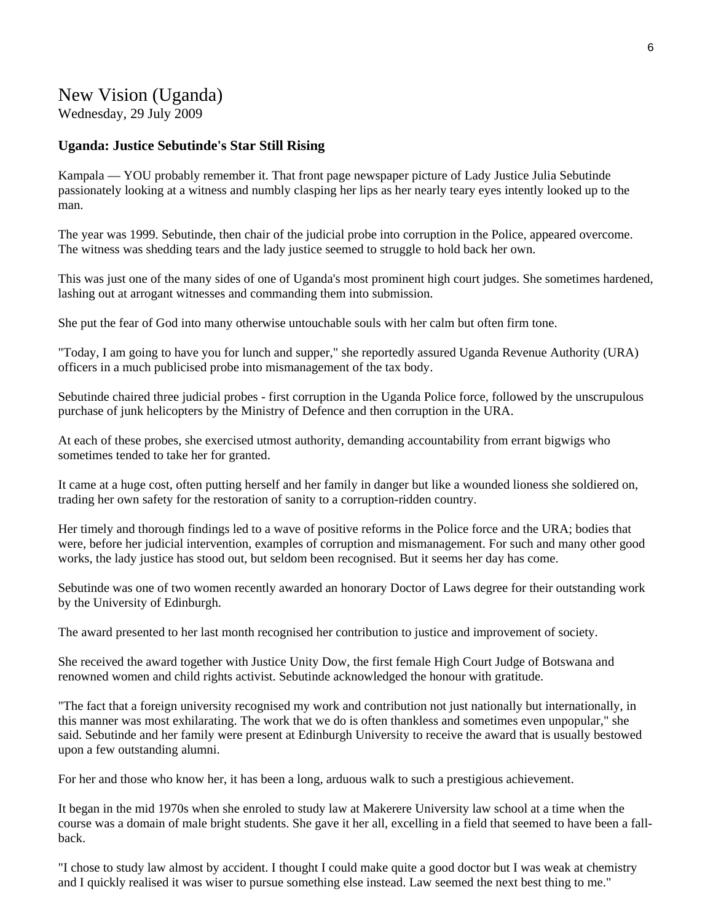## New Vision (Uganda)

Wednesday, 29 July 2009

#### **Uganda: Justice Sebutinde's Star Still Rising**

Kampala — YOU probably remember it. That front page newspaper picture of Lady Justice Julia Sebutinde passionately looking at a witness and numbly clasping her lips as her nearly teary eyes intently looked up to the man.

The year was 1999. Sebutinde, then chair of the judicial probe into corruption in the Police, appeared overcome. The witness was shedding tears and the lady justice seemed to struggle to hold back her own.

This was just one of the many sides of one of Uganda's most prominent high court judges. She sometimes hardened, lashing out at arrogant witnesses and commanding them into submission.

She put the fear of God into many otherwise untouchable souls with her calm but often firm tone.

"Today, I am going to have you for lunch and supper," she reportedly assured Uganda Revenue Authority (URA) officers in a much publicised probe into mismanagement of the tax body.

Sebutinde chaired three judicial probes - first corruption in the Uganda Police force, followed by the unscrupulous purchase of junk helicopters by the Ministry of Defence and then corruption in the URA.

At each of these probes, she exercised utmost authority, demanding accountability from errant bigwigs who sometimes tended to take her for granted.

It came at a huge cost, often putting herself and her family in danger but like a wounded lioness she soldiered on, trading her own safety for the restoration of sanity to a corruption-ridden country.

Her timely and thorough findings led to a wave of positive reforms in the Police force and the URA; bodies that were, before her judicial intervention, examples of corruption and mismanagement. For such and many other good works, the lady justice has stood out, but seldom been recognised. But it seems her day has come.

Sebutinde was one of two women recently awarded an honorary Doctor of Laws degree for their outstanding work by the University of Edinburgh.

The award presented to her last month recognised her contribution to justice and improvement of society.

She received the award together with Justice Unity Dow, the first female High Court Judge of Botswana and renowned women and child rights activist. Sebutinde acknowledged the honour with gratitude.

"The fact that a foreign university recognised my work and contribution not just nationally but internationally, in this manner was most exhilarating. The work that we do is often thankless and sometimes even unpopular," she said. Sebutinde and her family were present at Edinburgh University to receive the award that is usually bestowed upon a few outstanding alumni.

For her and those who know her, it has been a long, arduous walk to such a prestigious achievement.

It began in the mid 1970s when she enroled to study law at Makerere University law school at a time when the course was a domain of male bright students. She gave it her all, excelling in a field that seemed to have been a fallback.

"I chose to study law almost by accident. I thought I could make quite a good doctor but I was weak at chemistry and I quickly realised it was wiser to pursue something else instead. Law seemed the next best thing to me."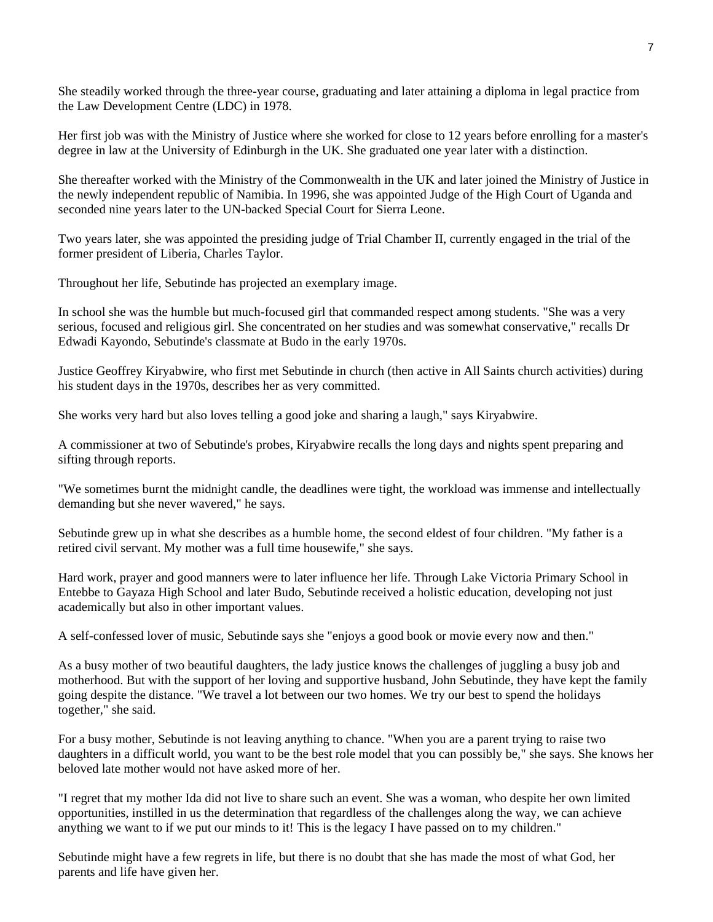She steadily worked through the three-year course, graduating and later attaining a diploma in legal practice from the Law Development Centre (LDC) in 1978.

Her first job was with the Ministry of Justice where she worked for close to 12 years before enrolling for a master's degree in law at the University of Edinburgh in the UK. She graduated one year later with a distinction.

She thereafter worked with the Ministry of the Commonwealth in the UK and later joined the Ministry of Justice in the newly independent republic of Namibia. In 1996, she was appointed Judge of the High Court of Uganda and seconded nine years later to the UN-backed Special Court for Sierra Leone.

Two years later, she was appointed the presiding judge of Trial Chamber II, currently engaged in the trial of the former president of Liberia, Charles Taylor.

Throughout her life, Sebutinde has projected an exemplary image.

In school she was the humble but much-focused girl that commanded respect among students. "She was a very serious, focused and religious girl. She concentrated on her studies and was somewhat conservative," recalls Dr Edwadi Kayondo, Sebutinde's classmate at Budo in the early 1970s.

Justice Geoffrey Kiryabwire, who first met Sebutinde in church (then active in All Saints church activities) during his student days in the 1970s, describes her as very committed.

She works very hard but also loves telling a good joke and sharing a laugh," says Kiryabwire.

A commissioner at two of Sebutinde's probes, Kiryabwire recalls the long days and nights spent preparing and sifting through reports.

"We sometimes burnt the midnight candle, the deadlines were tight, the workload was immense and intellectually demanding but she never wavered," he says.

Sebutinde grew up in what she describes as a humble home, the second eldest of four children. "My father is a retired civil servant. My mother was a full time housewife," she says.

Hard work, prayer and good manners were to later influence her life. Through Lake Victoria Primary School in Entebbe to Gayaza High School and later Budo, Sebutinde received a holistic education, developing not just academically but also in other important values.

A self-confessed lover of music, Sebutinde says she "enjoys a good book or movie every now and then."

As a busy mother of two beautiful daughters, the lady justice knows the challenges of juggling a busy job and motherhood. But with the support of her loving and supportive husband, John Sebutinde, they have kept the family going despite the distance. "We travel a lot between our two homes. We try our best to spend the holidays together," she said.

For a busy mother, Sebutinde is not leaving anything to chance. "When you are a parent trying to raise two daughters in a difficult world, you want to be the best role model that you can possibly be," she says. She knows her beloved late mother would not have asked more of her.

"I regret that my mother Ida did not live to share such an event. She was a woman, who despite her own limited opportunities, instilled in us the determination that regardless of the challenges along the way, we can achieve anything we want to if we put our minds to it! This is the legacy I have passed on to my children."

Sebutinde might have a few regrets in life, but there is no doubt that she has made the most of what God, her parents and life have given her.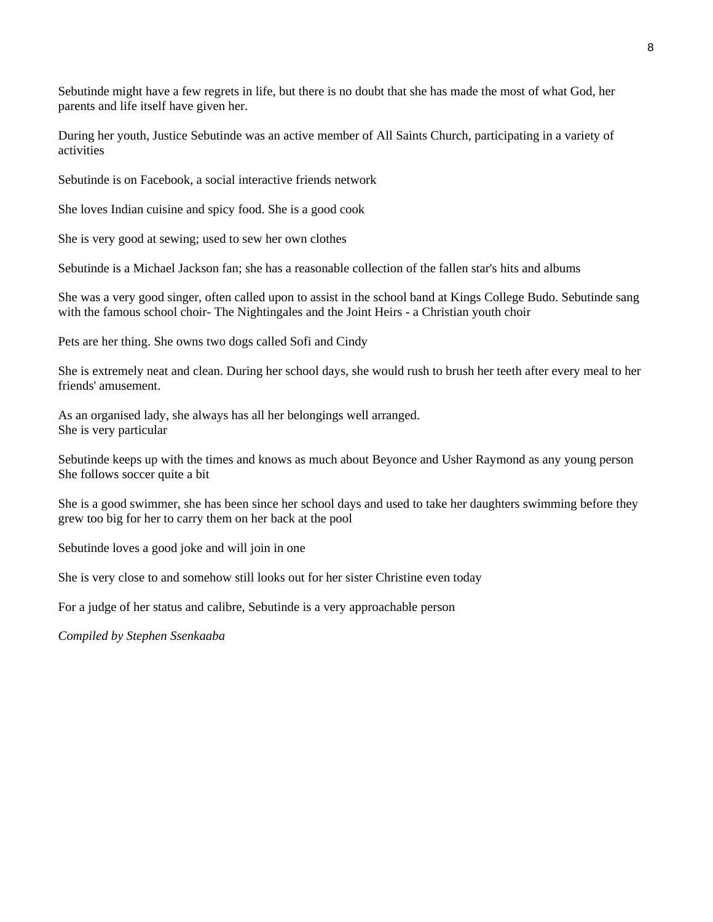Sebutinde might have a few regrets in life, but there is no doubt that she has made the most of what God, her parents and life itself have given her.

During her youth, Justice Sebutinde was an active member of All Saints Church, participating in a variety of activities

Sebutinde is on Facebook, a social interactive friends network

She loves Indian cuisine and spicy food. She is a good cook

She is very good at sewing; used to sew her own clothes

Sebutinde is a Michael Jackson fan; she has a reasonable collection of the fallen star's hits and albums

She was a very good singer, often called upon to assist in the school band at Kings College Budo. Sebutinde sang with the famous school choir- The Nightingales and the Joint Heirs - a Christian youth choir

Pets are her thing. She owns two dogs called Sofi and Cindy

She is extremely neat and clean. During her school days, she would rush to brush her teeth after every meal to her friends' amusement.

As an organised lady, she always has all her belongings well arranged. She is very particular

Sebutinde keeps up with the times and knows as much about Beyonce and Usher Raymond as any young person She follows soccer quite a bit

She is a good swimmer, she has been since her school days and used to take her daughters swimming before they grew too big for her to carry them on her back at the pool

Sebutinde loves a good joke and will join in one

She is very close to and somehow still looks out for her sister Christine even today

For a judge of her status and calibre, Sebutinde is a very approachable person

*Compiled by Stephen Ssenkaaba*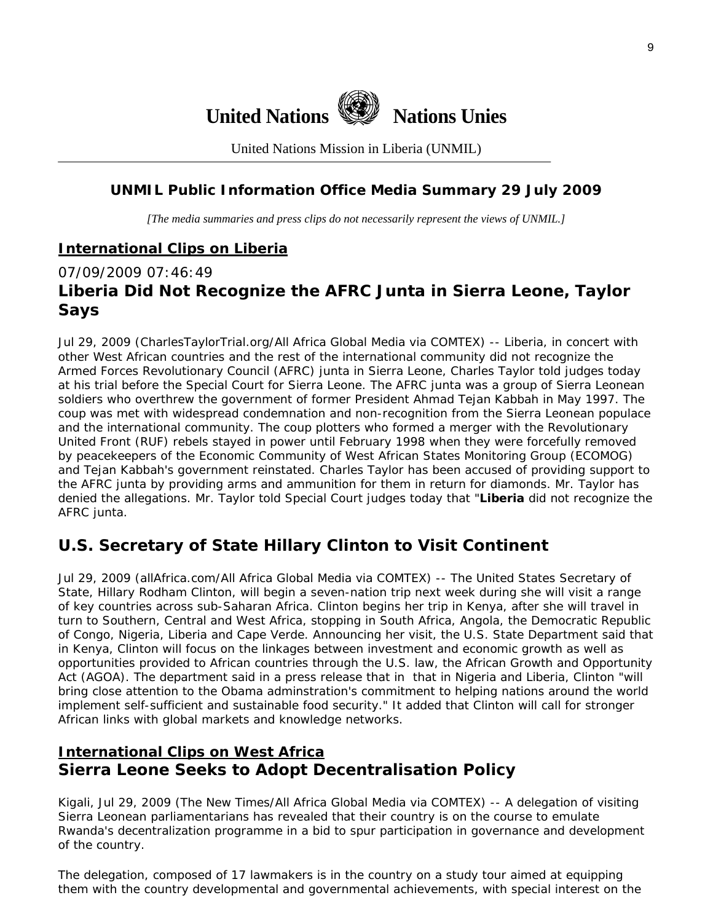

United Nations Mission in Liberia (UNMIL)

#### **UNMIL Public Information Office Media Summary 29 July 2009**

*[The media summaries and press clips do not necessarily represent the views of UNMIL.]* 

#### **International Clips on Liberia**

### 07/09/2009 07:46:49 **Liberia Did Not Recognize the AFRC Junta in Sierra Leone, Taylor Says**

Jul 29, 2009 (CharlesTaylorTrial.org/All Africa Global Media via COMTEX) -- Liberia, in concert with other West African countries and the rest of the international community did not recognize the Armed Forces Revolutionary Council (AFRC) junta in Sierra Leone, Charles Taylor told judges today at his trial before the Special Court for Sierra Leone. The AFRC junta was a group of Sierra Leonean soldiers who overthrew the government of former President Ahmad Tejan Kabbah in May 1997. The coup was met with widespread condemnation and non-recognition from the Sierra Leonean populace and the international community. The coup plotters who formed a merger with the Revolutionary United Front (RUF) rebels stayed in power until February 1998 when they were forcefully removed by peacekeepers of the Economic Community of West African States Monitoring Group (ECOMOG) and Tejan Kabbah's government reinstated. Charles Taylor has been accused of providing support to the AFRC junta by providing arms and ammunition for them in return for diamonds. Mr. Taylor has denied the allegations. Mr. Taylor told Special Court judges today that "**Liberia** did not recognize the AFRC junta.

## **U.S. Secretary of State Hillary Clinton to Visit Continent**

Jul 29, 2009 (allAfrica.com/All Africa Global Media via COMTEX) -- The United States Secretary of State, Hillary Rodham Clinton, will begin a seven-nation trip next week during she will visit a range of key countries across sub-Saharan Africa. Clinton begins her trip in Kenya, after she will travel in turn to Southern, Central and West Africa, stopping in South Africa, Angola, the Democratic Republic of Congo, Nigeria, Liberia and Cape Verde. Announcing her visit, the U.S. State Department said that in Kenya, Clinton will focus on the linkages between investment and economic growth as well as opportunities provided to African countries through the U.S. law, the African Growth and Opportunity Act (AGOA). The department said in a press release that in that in Nigeria and Liberia, Clinton "will bring close attention to the Obama adminstration's commitment to helping nations around the world implement self-sufficient and sustainable food security." It added that Clinton will call for stronger African links with global markets and knowledge networks.

## **International Clips on West Africa Sierra Leone Seeks to Adopt Decentralisation Policy**

Kigali, Jul 29, 2009 (The New Times/All Africa Global Media via COMTEX) -- A delegation of visiting Sierra Leonean parliamentarians has revealed that their country is on the course to emulate Rwanda's decentralization programme in a bid to spur participation in governance and development of the country.

The delegation, composed of 17 lawmakers is in the country on a study tour aimed at equipping them with the country developmental and governmental achievements, with special interest on the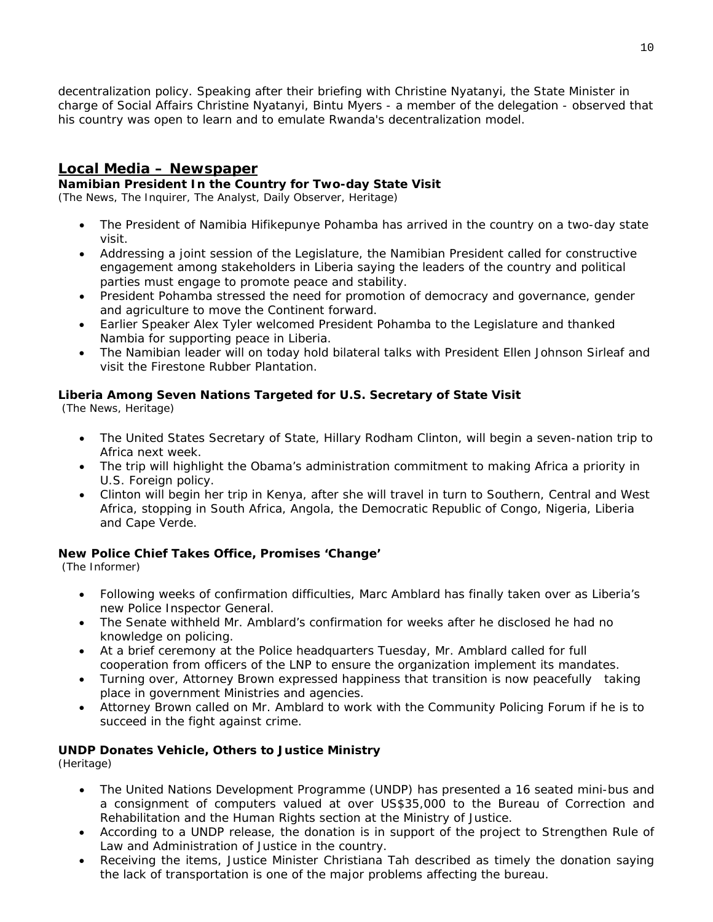decentralization policy. Speaking after their briefing with Christine Nyatanyi, the State Minister in charge of Social Affairs Christine Nyatanyi, Bintu Myers - a member of the delegation - observed that his country was open to learn and to emulate Rwanda's decentralization model.

#### **Local Media – Newspaper**

#### **Namibian President In the Country for Two-day State Visit**

(The News, The Inquirer, The Analyst, Daily Observer, Heritage)

- The President of Namibia Hifikepunye Pohamba has arrived in the country on a two-day state visit.
- Addressing a joint session of the Legislature, the Namibian President called for constructive engagement among stakeholders in Liberia saying the leaders of the country and political parties must engage to promote peace and stability.
- President Pohamba stressed the need for promotion of democracy and governance, gender and agriculture to move the Continent forward.
- Earlier Speaker Alex Tyler welcomed President Pohamba to the Legislature and thanked Nambia for supporting peace in Liberia.
- The Namibian leader will on today hold bilateral talks with President Ellen Johnson Sirleaf and visit the Firestone Rubber Plantation.

#### **Liberia Among Seven Nations Targeted for U.S. Secretary of State Visit**

(The News, Heritage)

- The United States Secretary of State, Hillary Rodham Clinton, will begin a seven-nation trip to Africa next week.
- The trip will highlight the Obama's administration commitment to making Africa a priority in U.S. Foreign policy.
- Clinton will begin her trip in Kenya, after she will travel in turn to Southern, Central and West Africa, stopping in South Africa, Angola, the Democratic Republic of Congo, Nigeria, Liberia and Cape Verde.

#### **New Police Chief Takes Office, Promises 'Change'**

(The Informer)

- Following weeks of confirmation difficulties, Marc Amblard has finally taken over as Liberia's new Police Inspector General.
- The Senate withheld Mr. Amblard's confirmation for weeks after he disclosed he had no knowledge on policing.
- At a brief ceremony at the Police headquarters Tuesday, Mr. Amblard called for full cooperation from officers of the LNP to ensure the organization implement its mandates.
- Turning over, Attorney Brown expressed happiness that transition is now peacefully taking place in government Ministries and agencies.
- Attorney Brown called on Mr. Amblard to work with the Community Policing Forum if he is to succeed in the fight against crime.

#### **UNDP Donates Vehicle, Others to Justice Ministry**

(Heritage)

- The United Nations Development Programme (UNDP) has presented a 16 seated mini-bus and a consignment of computers valued at over US\$35,000 to the Bureau of Correction and Rehabilitation and the Human Rights section at the Ministry of Justice.
- According to a UNDP release, the donation is in support of the project to Strengthen Rule of Law and Administration of Justice in the country.
- Receiving the items, Justice Minister Christiana Tah described as timely the donation saying the lack of transportation is one of the major problems affecting the bureau.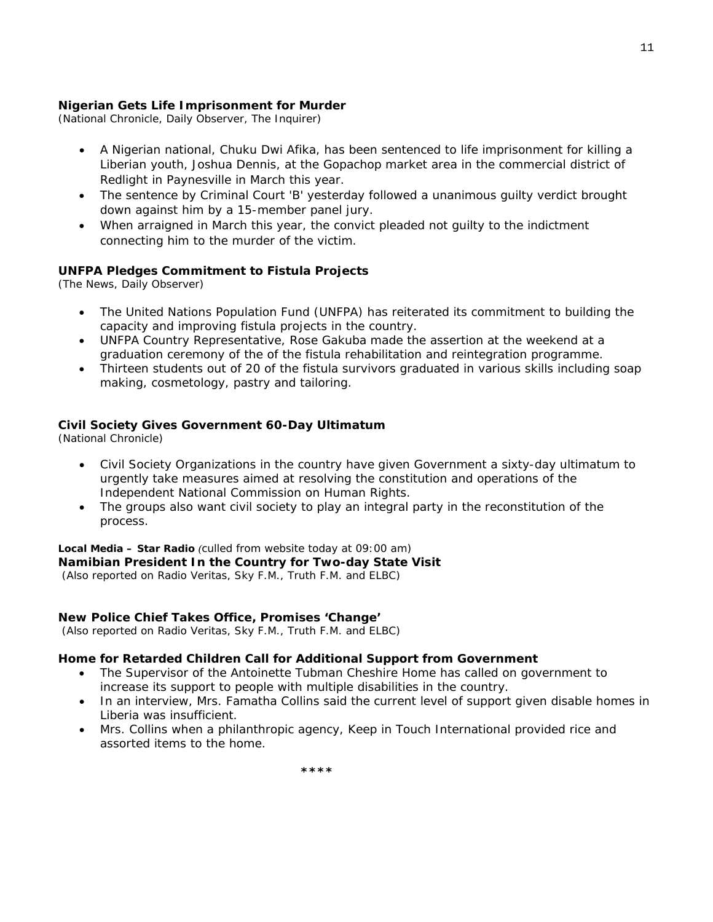#### **Nigerian Gets Life Imprisonment for Murder**

(National Chronicle, Daily Observer, The Inquirer)

- A Nigerian national, Chuku Dwi Afika, has been sentenced to life imprisonment for killing a Liberian youth, Joshua Dennis, at the Gopachop market area in the commercial district of Redlight in Paynesville in March this year.
- The sentence by Criminal Court 'B' yesterday followed a unanimous guilty verdict brought down against him by a 15-member panel jury.
- When arraigned in March this year, the convict pleaded not guilty to the indictment connecting him to the murder of the victim.

#### **UNFPA Pledges Commitment to Fistula Projects**

(The News, Daily Observer)

- The United Nations Population Fund (UNFPA) has reiterated its commitment to building the capacity and improving fistula projects in the country.
- UNFPA Country Representative, Rose Gakuba made the assertion at the weekend at a graduation ceremony of the of the fistula rehabilitation and reintegration programme.
- Thirteen students out of 20 of the fistula survivors graduated in various skills including soap making, cosmetology, pastry and tailoring.

#### **Civil Society Gives Government 60-Day Ultimatum**

(National Chronicle)

- Civil Society Organizations in the country have given Government a sixty-day ultimatum to urgently take measures aimed at resolving the constitution and operations of the Independent National Commission on Human Rights.
- The groups also want civil society to play an integral party in the reconstitution of the process.

#### **Local Media – Star Radio** *(culled from website today at 09:00 am)*  **Namibian President In the Country for Two-day State Visit**

 *(Also reported on Radio Veritas, Sky F.M., Truth F.M. and ELBC)*

#### **New Police Chief Takes Office, Promises 'Change'**

 *(Also reported on Radio Veritas, Sky F.M., Truth F.M. and ELBC)*

#### **Home for Retarded Children Call for Additional Support from Government**

- The Supervisor of the Antoinette Tubman Cheshire Home has called on government to increase its support to people with multiple disabilities in the country.
- In an interview, Mrs. Famatha Collins said the current level of support given disable homes in Liberia was insufficient.
- Mrs. Collins when a philanthropic agency, Keep in Touch International provided rice and assorted items to the home.

 **\*\*\*\***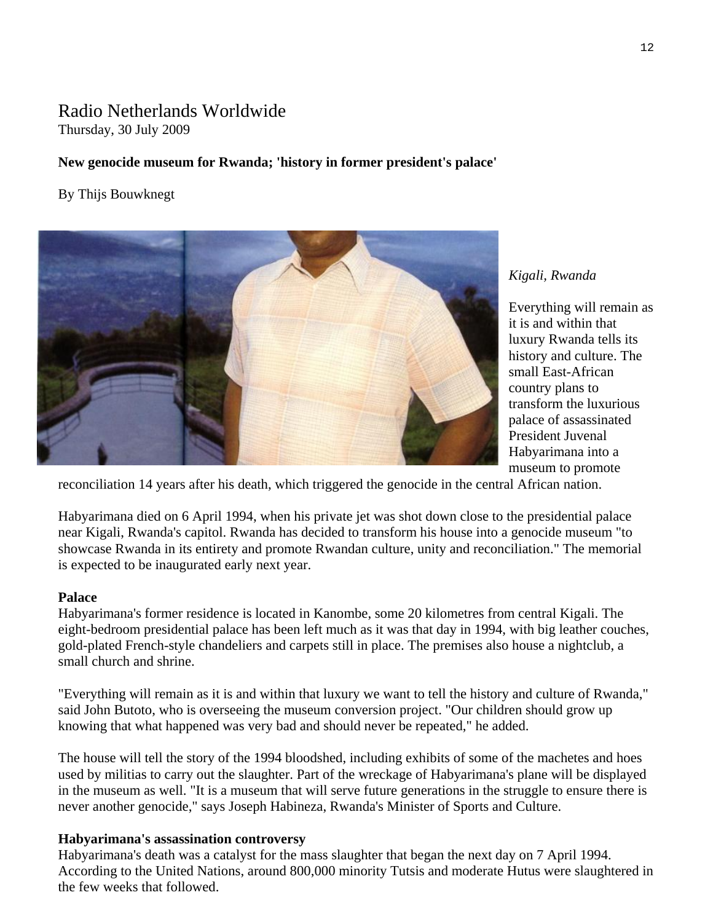### Radio Netherlands Worldwide Thursday, 30 July 2009

#### **New genocide museum for Rwanda; 'history in former president's palace'**

#### By Thijs Bouwknegt



#### *Kigali, Rwanda*

Everything will remain a s it is and within that luxury Rwanda tells its history and culture. The small East-African country plans to transform the luxurious palace of assassinated President Juvenal Habyarimana into a museum to promote

reconciliation 14 years after his death, which triggered the genocide in the central African nation.

Habyarimana died on 6 April 1994, when his private jet was shot down close to the presidential palace near Kigali, Rwanda's capitol. Rwanda has decided to transform his house into a genocide museum "to showcase Rwanda in its entirety and promote Rwandan culture, unity and reconciliation." The memorial is expected to be inaugurated early next year.

#### **Palace**

Habyarimana's former residence is located in Kanombe, some 20 kilometres from central Kigali. The eight-bedroom presidential palace has been left much as it was that day in 1994, with big leather couches, gold-plated French-style chandeliers and carpets still in place. The premises also house a nightclub, a small church and shrine.

"Everything will remain as it is and within that luxury we want to tell the history and culture of Rwanda," said John Butoto, who is overseeing the museum conversion project. "Our children should grow up knowing that what happened was very bad and should never be repeated," he added.

The house will tell the story of the 1994 bloodshed, including exhibits of some of the machetes and hoes used by militias to carry out the slaughter. Part of the wreckage of Habyarimana's plane will be displayed in the museum as well. "It is a museum that will serve future generations in the struggle to ensure there is never another genocide," says Joseph Habineza, Rwanda's Minister of Sports and Culture.

#### **Habyarimana's assassination controversy**

Habyarimana's death was a catalyst for the mass slaughter that began the next day on 7 April 1994. According to the United Nations, around 800,000 minority Tutsis and moderate Hutus were slaughtered in the few weeks that followed.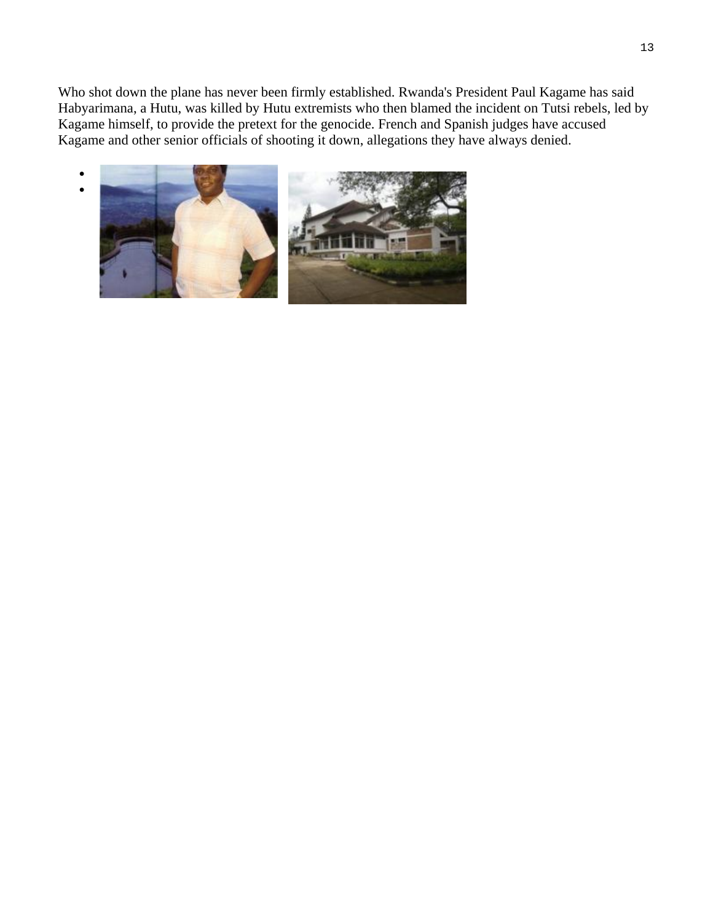Who shot down the plane has never been firmly established. Rwanda's President Paul Kagame has said Habyarimana, a Hutu, was killed by Hutu extremists who then blamed the incident on Tutsi rebels, led by Kagame himself, to provide the pretext for the genocide. French and Spanish judges have accused Kagame and other senior officials of shooting it down, allegations they have always denied.

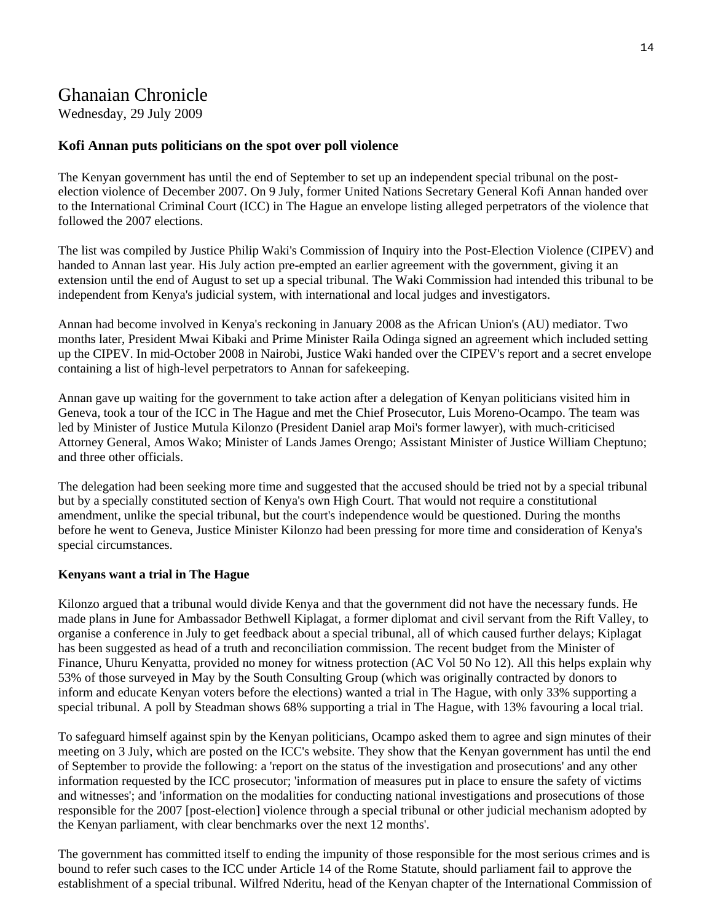## Ghanaian Chronicle

Wednesday, 29 July 2009

#### **Kofi Annan puts politicians on the spot over poll violence**

The Kenyan government has until the end of September to set up an independent special tribunal on the postelection violence of December 2007. On 9 July, former United Nations Secretary General Kofi Annan handed over to the International Criminal Court (ICC) in The Hague an envelope listing alleged perpetrators of the violence that followed the 2007 elections.

The list was compiled by Justice Philip Waki's Commission of Inquiry into the Post-Election Violence (CIPEV) and handed to Annan last year. His July action pre-empted an earlier agreement with the government, giving it an extension until the end of August to set up a special tribunal. The Waki Commission had intended this tribunal to be independent from Kenya's judicial system, with international and local judges and investigators.

Annan had become involved in Kenya's reckoning in January 2008 as the African Union's (AU) mediator. Two months later, President Mwai Kibaki and Prime Minister Raila Odinga signed an agreement which included setting up the CIPEV. In mid-October 2008 in Nairobi, Justice Waki handed over the CIPEV's report and a secret envelope containing a list of high-level perpetrators to Annan for safekeeping.

Annan gave up waiting for the government to take action after a delegation of Kenyan politicians visited him in Geneva, took a tour of the ICC in The Hague and met the Chief Prosecutor, Luis Moreno-Ocampo. The team was led by Minister of Justice Mutula Kilonzo (President Daniel arap Moi's former lawyer), with much-criticised Attorney General, Amos Wako; Minister of Lands James Orengo; Assistant Minister of Justice William Cheptuno; and three other officials.

The delegation had been seeking more time and suggested that the accused should be tried not by a special tribunal but by a specially constituted section of Kenya's own High Court. That would not require a constitutional amendment, unlike the special tribunal, but the court's independence would be questioned. During the months before he went to Geneva, Justice Minister Kilonzo had been pressing for more time and consideration of Kenya's special circumstances.

#### **Kenyans want a trial in The Hague**

Kilonzo argued that a tribunal would divide Kenya and that the government did not have the necessary funds. He made plans in June for Ambassador Bethwell Kiplagat, a former diplomat and civil servant from the Rift Valley, to organise a conference in July to get feedback about a special tribunal, all of which caused further delays; Kiplagat has been suggested as head of a truth and reconciliation commission. The recent budget from the Minister of Finance, Uhuru Kenyatta, provided no money for witness protection (AC Vol 50 No 12). All this helps explain why 53% of those surveyed in May by the South Consulting Group (which was originally contracted by donors to inform and educate Kenyan voters before the elections) wanted a trial in The Hague, with only 33% supporting a special tribunal. A poll by Steadman shows 68% supporting a trial in The Hague, with 13% favouring a local trial.

To safeguard himself against spin by the Kenyan politicians, Ocampo asked them to agree and sign minutes of their meeting on 3 July, which are posted on the ICC's website. They show that the Kenyan government has until the end of September to provide the following: a 'report on the status of the investigation and prosecutions' and any other information requested by the ICC prosecutor; 'information of measures put in place to ensure the safety of victims and witnesses'; and 'information on the modalities for conducting national investigations and prosecutions of those responsible for the 2007 [post-election] violence through a special tribunal or other judicial mechanism adopted by the Kenyan parliament, with clear benchmarks over the next 12 months'.

The government has committed itself to ending the impunity of those responsible for the most serious crimes and is bound to refer such cases to the ICC under Article 14 of the Rome Statute, should parliament fail to approve the establishment of a special tribunal. Wilfred Nderitu, head of the Kenyan chapter of the International Commission of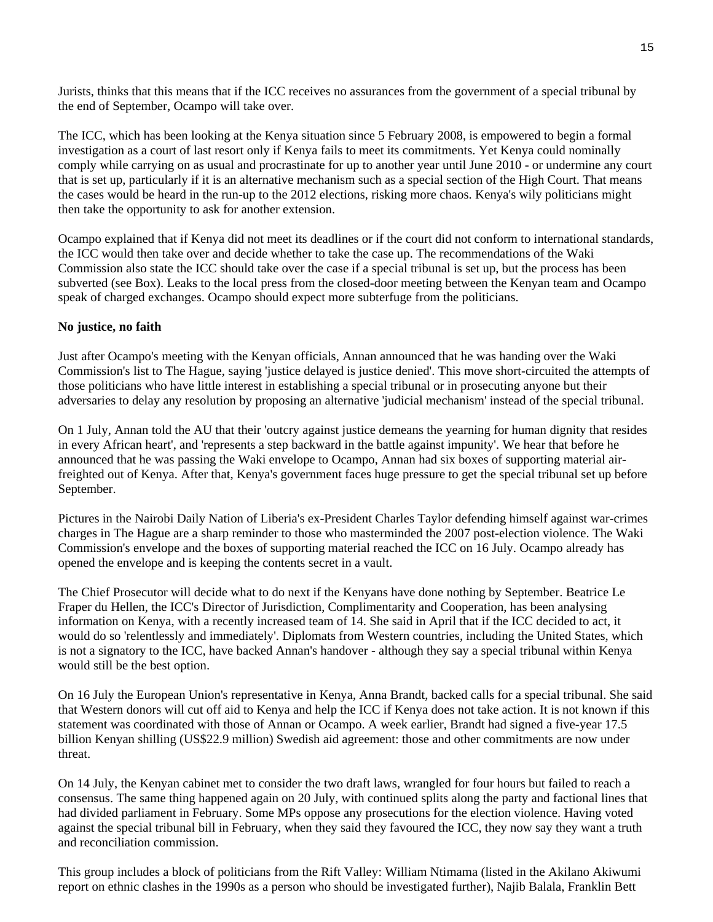Jurists, thinks that this means that if the ICC receives no assurances from the government of a special tribunal by the end of September, Ocampo will take over.

The ICC, which has been looking at the Kenya situation since 5 February 2008, is empowered to begin a formal investigation as a court of last resort only if Kenya fails to meet its commitments. Yet Kenya could nominally comply while carrying on as usual and procrastinate for up to another year until June 2010 - or undermine any court that is set up, particularly if it is an alternative mechanism such as a special section of the High Court. That means the cases would be heard in the run-up to the 2012 elections, risking more chaos. Kenya's wily politicians might then take the opportunity to ask for another extension.

Ocampo explained that if Kenya did not meet its deadlines or if the court did not conform to international standards, the ICC would then take over and decide whether to take the case up. The recommendations of the Waki Commission also state the ICC should take over the case if a special tribunal is set up, but the process has been subverted (see Box). Leaks to the local press from the closed-door meeting between the Kenyan team and Ocampo speak of charged exchanges. Ocampo should expect more subterfuge from the politicians.

#### **No justice, no faith**

Just after Ocampo's meeting with the Kenyan officials, Annan announced that he was handing over the Waki Commission's list to The Hague, saying 'justice delayed is justice denied'. This move short-circuited the attempts of those politicians who have little interest in establishing a special tribunal or in prosecuting anyone but their adversaries to delay any resolution by proposing an alternative 'judicial mechanism' instead of the special tribunal.

On 1 July, Annan told the AU that their 'outcry against justice demeans the yearning for human dignity that resides in every African heart', and 'represents a step backward in the battle against impunity'. We hear that before he announced that he was passing the Waki envelope to Ocampo, Annan had six boxes of supporting material airfreighted out of Kenya. After that, Kenya's government faces huge pressure to get the special tribunal set up before September.

Pictures in the Nairobi Daily Nation of Liberia's ex-President Charles Taylor defending himself against war-crimes charges in The Hague are a sharp reminder to those who masterminded the 2007 post-election violence. The Waki Commission's envelope and the boxes of supporting material reached the ICC on 16 July. Ocampo already has opened the envelope and is keeping the contents secret in a vault.

The Chief Prosecutor will decide what to do next if the Kenyans have done nothing by September. Beatrice Le Fraper du Hellen, the ICC's Director of Jurisdiction, Complimentarity and Cooperation, has been analysing information on Kenya, with a recently increased team of 14. She said in April that if the ICC decided to act, it would do so 'relentlessly and immediately'. Diplomats from Western countries, including the United States, which is not a signatory to the ICC, have backed Annan's handover - although they say a special tribunal within Kenya would still be the best option.

On 16 July the European Union's representative in Kenya, Anna Brandt, backed calls for a special tribunal. She said that Western donors will cut off aid to Kenya and help the ICC if Kenya does not take action. It is not known if this statement was coordinated with those of Annan or Ocampo. A week earlier, Brandt had signed a five-year 17.5 billion Kenyan shilling (US\$22.9 million) Swedish aid agreement: those and other commitments are now under threat.

On 14 July, the Kenyan cabinet met to consider the two draft laws, wrangled for four hours but failed to reach a consensus. The same thing happened again on 20 July, with continued splits along the party and factional lines that had divided parliament in February. Some MPs oppose any prosecutions for the election violence. Having voted against the special tribunal bill in February, when they said they favoured the ICC, they now say they want a truth and reconciliation commission.

This group includes a block of politicians from the Rift Valley: William Ntimama (listed in the Akilano Akiwumi report on ethnic clashes in the 1990s as a person who should be investigated further), Najib Balala, Franklin Bett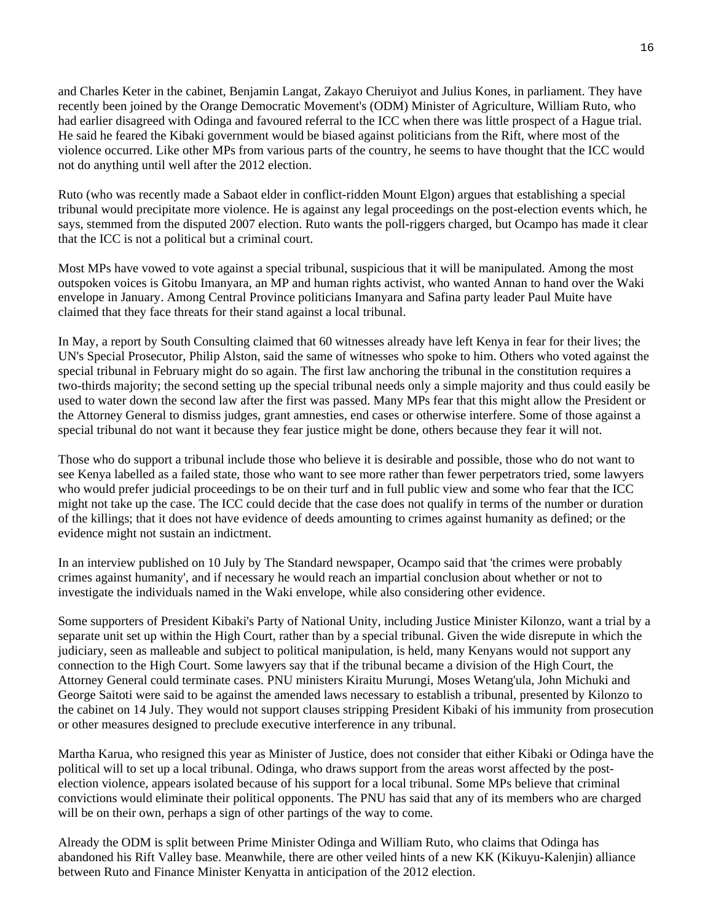and Charles Keter in the cabinet, Benjamin Langat, Zakayo Cheruiyot and Julius Kones, in parliament. They have recently been joined by the Orange Democratic Movement's (ODM) Minister of Agriculture, William Ruto, who had earlier disagreed with Odinga and favoured referral to the ICC when there was little prospect of a Hague trial. He said he feared the Kibaki government would be biased against politicians from the Rift, where most of the violence occurred. Like other MPs from various parts of the country, he seems to have thought that the ICC would not do anything until well after the 2012 election.

Ruto (who was recently made a Sabaot elder in conflict-ridden Mount Elgon) argues that establishing a special tribunal would precipitate more violence. He is against any legal proceedings on the post-election events which, he says, stemmed from the disputed 2007 election. Ruto wants the poll-riggers charged, but Ocampo has made it clear that the ICC is not a political but a criminal court.

Most MPs have vowed to vote against a special tribunal, suspicious that it will be manipulated. Among the most outspoken voices is Gitobu Imanyara, an MP and human rights activist, who wanted Annan to hand over the Waki envelope in January. Among Central Province politicians Imanyara and Safina party leader Paul Muite have claimed that they face threats for their stand against a local tribunal.

In May, a report by South Consulting claimed that 60 witnesses already have left Kenya in fear for their lives; the UN's Special Prosecutor, Philip Alston, said the same of witnesses who spoke to him. Others who voted against the special tribunal in February might do so again. The first law anchoring the tribunal in the constitution requires a two-thirds majority; the second setting up the special tribunal needs only a simple majority and thus could easily be used to water down the second law after the first was passed. Many MPs fear that this might allow the President or the Attorney General to dismiss judges, grant amnesties, end cases or otherwise interfere. Some of those against a special tribunal do not want it because they fear justice might be done, others because they fear it will not.

Those who do support a tribunal include those who believe it is desirable and possible, those who do not want to see Kenya labelled as a failed state, those who want to see more rather than fewer perpetrators tried, some lawyers who would prefer judicial proceedings to be on their turf and in full public view and some who fear that the ICC might not take up the case. The ICC could decide that the case does not qualify in terms of the number or duration of the killings; that it does not have evidence of deeds amounting to crimes against humanity as defined; or the evidence might not sustain an indictment.

In an interview published on 10 July by The Standard newspaper, Ocampo said that 'the crimes were probably crimes against humanity', and if necessary he would reach an impartial conclusion about whether or not to investigate the individuals named in the Waki envelope, while also considering other evidence.

Some supporters of President Kibaki's Party of National Unity, including Justice Minister Kilonzo, want a trial by a separate unit set up within the High Court, rather than by a special tribunal. Given the wide disrepute in which the judiciary, seen as malleable and subject to political manipulation, is held, many Kenyans would not support any connection to the High Court. Some lawyers say that if the tribunal became a division of the High Court, the Attorney General could terminate cases. PNU ministers Kiraitu Murungi, Moses Wetang'ula, John Michuki and George Saitoti were said to be against the amended laws necessary to establish a tribunal, presented by Kilonzo to the cabinet on 14 July. They would not support clauses stripping President Kibaki of his immunity from prosecution or other measures designed to preclude executive interference in any tribunal.

Martha Karua, who resigned this year as Minister of Justice, does not consider that either Kibaki or Odinga have the political will to set up a local tribunal. Odinga, who draws support from the areas worst affected by the postelection violence, appears isolated because of his support for a local tribunal. Some MPs believe that criminal convictions would eliminate their political opponents. The PNU has said that any of its members who are charged will be on their own, perhaps a sign of other partings of the way to come.

Already the ODM is split between Prime Minister Odinga and William Ruto, who claims that Odinga has abandoned his Rift Valley base. Meanwhile, there are other veiled hints of a new KK (Kikuyu-Kalenjin) alliance between Ruto and Finance Minister Kenyatta in anticipation of the 2012 election.